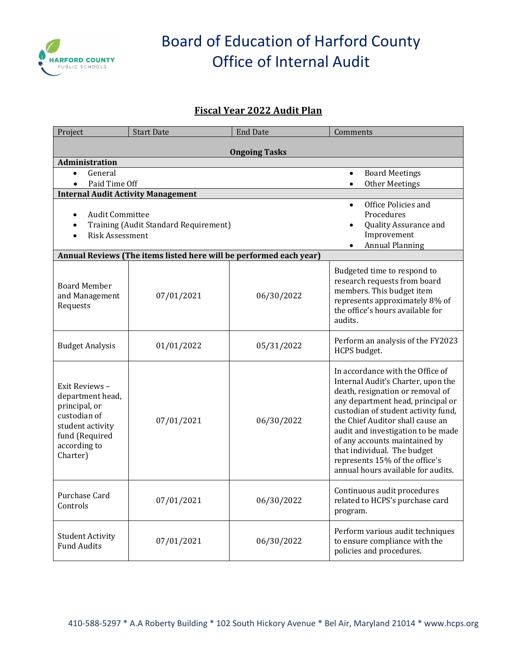

# Board of Education of Harford County Office of Internal Audit

### **Fiscal Year 2022 Audit Plan**

| Project                                   | <b>Start Date</b>                                                  | <b>End Date</b> | Comments                                                                |  |  |
|-------------------------------------------|--------------------------------------------------------------------|-----------------|-------------------------------------------------------------------------|--|--|
| <b>Ongoing Tasks</b>                      |                                                                    |                 |                                                                         |  |  |
| Administration                            |                                                                    |                 |                                                                         |  |  |
| General<br>$\bullet$                      |                                                                    |                 | <b>Board Meetings</b><br>$\bullet$                                      |  |  |
| Paid Time Off                             |                                                                    |                 | <b>Other Meetings</b>                                                   |  |  |
| <b>Internal Audit Activity Management</b> |                                                                    |                 |                                                                         |  |  |
|                                           |                                                                    |                 | Office Policies and<br>$\bullet$                                        |  |  |
| <b>Audit Committee</b><br>$\bullet$       |                                                                    |                 | Procedures                                                              |  |  |
| Training (Audit Standard Requirement)     |                                                                    |                 | Quality Assurance and<br>Improvement                                    |  |  |
| <b>Risk Assessment</b>                    |                                                                    |                 | <b>Annual Planning</b>                                                  |  |  |
|                                           | Annual Reviews (The items listed here will be performed each year) |                 |                                                                         |  |  |
|                                           |                                                                    |                 |                                                                         |  |  |
|                                           |                                                                    |                 | Budgeted time to respond to<br>research requests from board             |  |  |
| <b>Board Member</b>                       |                                                                    |                 | members. This budget item                                               |  |  |
| and Management                            | 07/01/2021                                                         | 06/30/2022      | represents approximately 8% of                                          |  |  |
| Requests                                  |                                                                    |                 | the office's hours available for                                        |  |  |
|                                           |                                                                    |                 | audits.                                                                 |  |  |
|                                           |                                                                    |                 | Perform an analysis of the FY2023                                       |  |  |
| <b>Budget Analysis</b>                    | 01/01/2022                                                         | 05/31/2022      | HCPS budget.                                                            |  |  |
|                                           |                                                                    |                 |                                                                         |  |  |
|                                           |                                                                    |                 | In accordance with the Office of                                        |  |  |
| Exit Reviews -                            |                                                                    |                 | Internal Audit's Charter, upon the                                      |  |  |
| department head,                          |                                                                    |                 | death, resignation or removal of                                        |  |  |
| principal, or                             |                                                                    |                 | any department head, principal or                                       |  |  |
| custodian of                              | 07/01/2021                                                         |                 | custodian of student activity fund,<br>the Chief Auditor shall cause an |  |  |
| student activity                          |                                                                    | 06/30/2022      | audit and investigation to be made                                      |  |  |
| fund (Required                            |                                                                    |                 | of any accounts maintained by                                           |  |  |
| according to                              |                                                                    |                 | that individual. The budget                                             |  |  |
| Charter)                                  |                                                                    |                 | represents 15% of the office's                                          |  |  |
|                                           |                                                                    |                 | annual hours available for audits.                                      |  |  |
|                                           |                                                                    |                 |                                                                         |  |  |
| Purchase Card                             | 07/01/2021                                                         | 06/30/2022      | Continuous audit procedures<br>related to HCPS's purchase card          |  |  |
| Controls                                  |                                                                    |                 | program.                                                                |  |  |
|                                           |                                                                    |                 |                                                                         |  |  |
| <b>Student Activity</b>                   |                                                                    |                 | Perform various audit techniques                                        |  |  |
| <b>Fund Audits</b>                        | 07/01/2021                                                         | 06/30/2022      | to ensure compliance with the<br>policies and procedures.               |  |  |
|                                           |                                                                    |                 |                                                                         |  |  |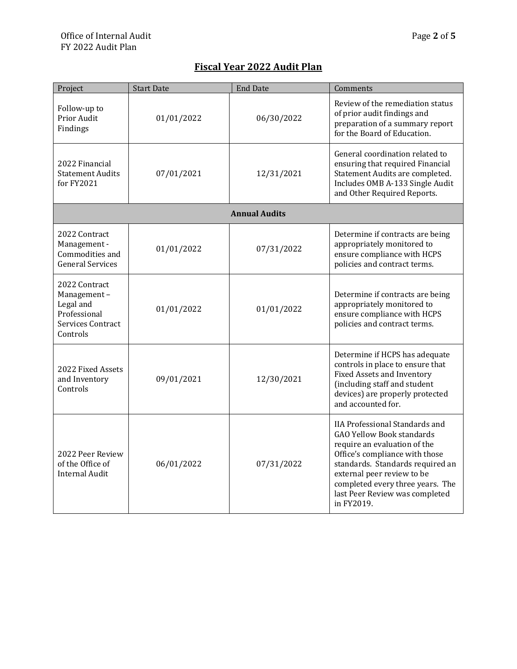## **Fiscal Year 2022 Audit Plan**

| Project                                                                                    | <b>Start Date</b>    | <b>End Date</b> | Comments                                                                                                                                                                                                                                                                                          |  |  |
|--------------------------------------------------------------------------------------------|----------------------|-----------------|---------------------------------------------------------------------------------------------------------------------------------------------------------------------------------------------------------------------------------------------------------------------------------------------------|--|--|
| Follow-up to<br>Prior Audit<br>Findings                                                    | 01/01/2022           | 06/30/2022      | Review of the remediation status<br>of prior audit findings and<br>preparation of a summary report<br>for the Board of Education.                                                                                                                                                                 |  |  |
| 2022 Financial<br><b>Statement Audits</b><br>for $FY2021$                                  | 07/01/2021           | 12/31/2021      | General coordination related to<br>ensuring that required Financial<br>Statement Audits are completed.<br>Includes OMB A-133 Single Audit<br>and Other Required Reports.                                                                                                                          |  |  |
|                                                                                            | <b>Annual Audits</b> |                 |                                                                                                                                                                                                                                                                                                   |  |  |
| 2022 Contract<br>Management -<br>Commodities and<br><b>General Services</b>                | 01/01/2022           | 07/31/2022      | Determine if contracts are being<br>appropriately monitored to<br>ensure compliance with HCPS<br>policies and contract terms.                                                                                                                                                                     |  |  |
| 2022 Contract<br>Management-<br>Legal and<br>Professional<br>Services Contract<br>Controls | 01/01/2022           | 01/01/2022      | Determine if contracts are being<br>appropriately monitored to<br>ensure compliance with HCPS<br>policies and contract terms.                                                                                                                                                                     |  |  |
| 2022 Fixed Assets<br>and Inventory<br>Controls                                             | 09/01/2021           | 12/30/2021      | Determine if HCPS has adequate<br>controls in place to ensure that<br>Fixed Assets and Inventory<br>(including staff and student<br>devices) are properly protected<br>and accounted for.                                                                                                         |  |  |
| 2022 Peer Review<br>of the Office of<br><b>Internal Audit</b>                              | 06/01/2022           | 07/31/2022      | <b>IIA Professional Standards and</b><br><b>GAO Yellow Book standards</b><br>require an evaluation of the<br>Office's compliance with those<br>standards. Standards required an<br>external peer review to be<br>completed every three years. The<br>last Peer Review was completed<br>in FY2019. |  |  |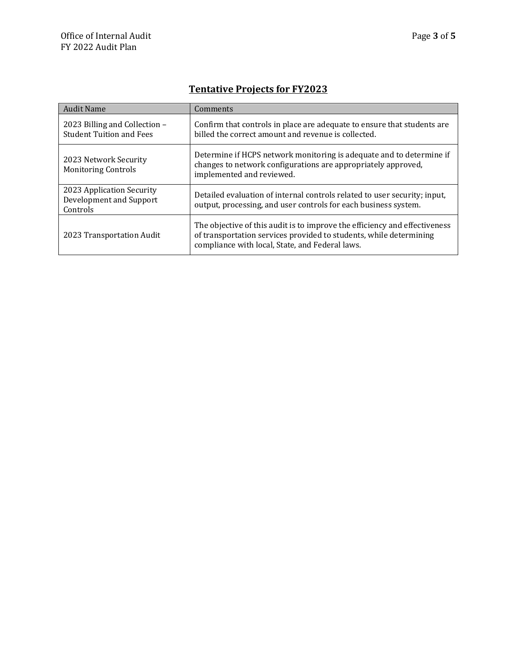# **Tentative Projects for FY2023**

| <b>Audit Name</b>                                                | Comments                                                                                                                                                                                            |
|------------------------------------------------------------------|-----------------------------------------------------------------------------------------------------------------------------------------------------------------------------------------------------|
| 2023 Billing and Collection -<br><b>Student Tuition and Fees</b> | Confirm that controls in place are adequate to ensure that students are<br>billed the correct amount and revenue is collected.                                                                      |
| 2023 Network Security<br><b>Monitoring Controls</b>              | Determine if HCPS network monitoring is adequate and to determine if<br>changes to network configurations are appropriately approved,<br>implemented and reviewed.                                  |
| 2023 Application Security<br>Development and Support<br>Controls | Detailed evaluation of internal controls related to user security; input,<br>output, processing, and user controls for each business system.                                                        |
| 2023 Transportation Audit                                        | The objective of this audit is to improve the efficiency and effectiveness<br>of transportation services provided to students, while determining<br>compliance with local, State, and Federal laws. |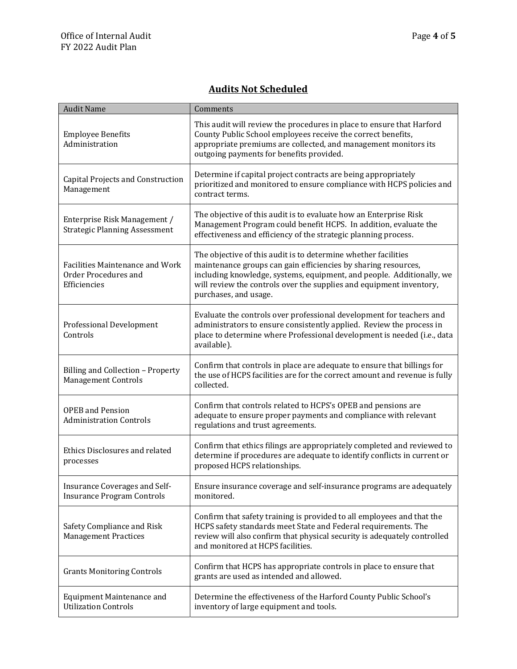### **Audits Not Scheduled**

| <b>Audit Name</b>                                                              | Comments                                                                                                                                                                                                                                                                                                  |
|--------------------------------------------------------------------------------|-----------------------------------------------------------------------------------------------------------------------------------------------------------------------------------------------------------------------------------------------------------------------------------------------------------|
| <b>Employee Benefits</b><br>Administration                                     | This audit will review the procedures in place to ensure that Harford<br>County Public School employees receive the correct benefits,<br>appropriate premiums are collected, and management monitors its<br>outgoing payments for benefits provided.                                                      |
| Capital Projects and Construction<br>Management                                | Determine if capital project contracts are being appropriately<br>prioritized and monitored to ensure compliance with HCPS policies and<br>contract terms.                                                                                                                                                |
| Enterprise Risk Management /<br><b>Strategic Planning Assessment</b>           | The objective of this audit is to evaluate how an Enterprise Risk<br>Management Program could benefit HCPS. In addition, evaluate the<br>effectiveness and efficiency of the strategic planning process.                                                                                                  |
| <b>Facilities Maintenance and Work</b><br>Order Procedures and<br>Efficiencies | The objective of this audit is to determine whether facilities<br>maintenance groups can gain efficiencies by sharing resources,<br>including knowledge, systems, equipment, and people. Additionally, we<br>will review the controls over the supplies and equipment inventory,<br>purchases, and usage. |
| Professional Development<br>Controls                                           | Evaluate the controls over professional development for teachers and<br>administrators to ensure consistently applied. Review the process in<br>place to determine where Professional development is needed (i.e., data<br>available).                                                                    |
| Billing and Collection - Property<br><b>Management Controls</b>                | Confirm that controls in place are adequate to ensure that billings for<br>the use of HCPS facilities are for the correct amount and revenue is fully<br>collected.                                                                                                                                       |
| <b>OPEB</b> and Pension<br><b>Administration Controls</b>                      | Confirm that controls related to HCPS's OPEB and pensions are<br>adequate to ensure proper payments and compliance with relevant<br>regulations and trust agreements.                                                                                                                                     |
| Ethics Disclosures and related<br>processes                                    | Confirm that ethics filings are appropriately completed and reviewed to<br>determine if procedures are adequate to identify conflicts in current or<br>proposed HCPS relationships.                                                                                                                       |
| Insurance Coverages and Self-<br><b>Insurance Program Controls</b>             | Ensure insurance coverage and self-insurance programs are adequately<br>monitored.                                                                                                                                                                                                                        |
| Safety Compliance and Risk<br><b>Management Practices</b>                      | Confirm that safety training is provided to all employees and that the<br>HCPS safety standards meet State and Federal requirements. The<br>review will also confirm that physical security is adequately controlled<br>and monitored at HCPS facilities.                                                 |
| <b>Grants Monitoring Controls</b>                                              | Confirm that HCPS has appropriate controls in place to ensure that<br>grants are used as intended and allowed.                                                                                                                                                                                            |
| <b>Equipment Maintenance and</b><br><b>Utilization Controls</b>                | Determine the effectiveness of the Harford County Public School's<br>inventory of large equipment and tools.                                                                                                                                                                                              |